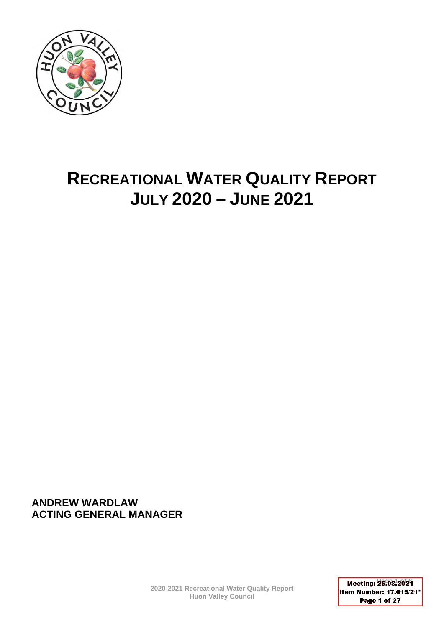

# **RECREATIONAL WATER QUALITY REPORT JULY 2020 – JUNE 2021**

**ANDREW WARDLAW ACTING GENERAL MANAGER** 

> **2020-2021 Recreational Water Quality Report Huon Valley Council**

**Meeting: 26 8 2029** Item Number: 17.019/21\* Page 1 of 27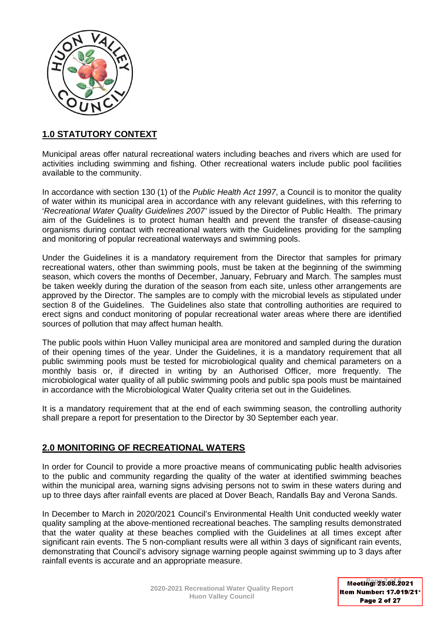

# **1.0 STATUTORY CONTEXT**

Municipal areas offer natural recreational waters including beaches and rivers which are used for activities including swimming and fishing. Other recreational waters include public pool facilities available to the community.

In accordance with section 130 (1) of the *Public Health Act 1997*, a Council is to monitor the quality of water within its municipal area in accordance with any relevant guidelines, with this referring to '*Recreational Water Quality Guidelines 2007'* issued by the Director of Public Health. The primary aim of the Guidelines is to protect human health and prevent the transfer of disease-causing organisms during contact with recreational waters with the Guidelines providing for the sampling and monitoring of popular recreational waterways and swimming pools.

Under the Guidelines it is a mandatory requirement from the Director that samples for primary recreational waters, other than swimming pools, must be taken at the beginning of the swimming season, which covers the months of December, January, February and March. The samples must be taken weekly during the duration of the season from each site, unless other arrangements are approved by the Director. The samples are to comply with the microbial levels as stipulated under section 8 of the Guidelines. The Guidelines also state that controlling authorities are required to erect signs and conduct monitoring of popular recreational water areas where there are identified sources of pollution that may affect human health.

The public pools within Huon Valley municipal area are monitored and sampled during the duration of their opening times of the year. Under the Guidelines, it is a mandatory requirement that all public swimming pools must be tested for microbiological quality and chemical parameters on a monthly basis or, if directed in writing by an Authorised Officer, more frequently. The microbiological water quality of all public swimming pools and public spa pools must be maintained in accordance with the Microbiological Water Quality criteria set out in the Guidelines*.*

It is a mandatory requirement that at the end of each swimming season, the controlling authority shall prepare a report for presentation to the Director by 30 September each year.

# **2.0 MONITORING OF RECREATIONAL WATERS**

In order for Council to provide a more proactive means of communicating public health advisories to the public and community regarding the quality of the water at identified swimming beaches within the municipal area, warning signs advising persons not to swim in these waters during and up to three days after rainfall events are placed at Dover Beach, Randalls Bay and Verona Sands.

In December to March in 2020/2021 Council's Environmental Health Unit conducted weekly water quality sampling at the above-mentioned recreational beaches. The sampling results demonstrated that the water quality at these beaches complied with the Guidelines at all times except after significant rain events. The 5 non-compliant results were all within 3 days of significant rain events, demonstrating that Council's advisory signage warning people against swimming up to 3 days after rainfall events is accurate and an appropriate measure.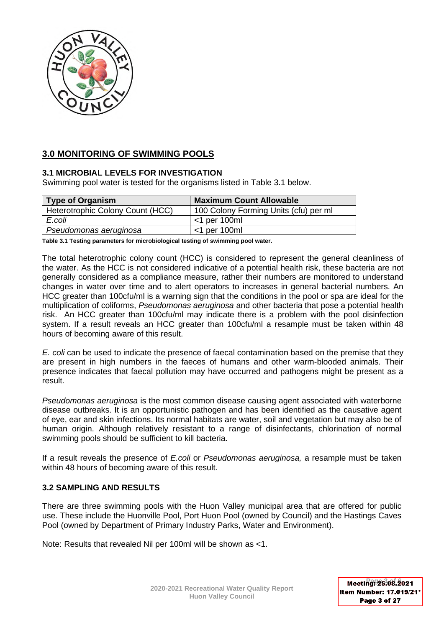

# **3.0 MONITORING OF SWIMMING POOLS**

### **3.1 MICROBIAL LEVELS FOR INVESTIGATION**

Swimming pool water is tested for the organisms listed in Table 3.1 below.

| Type of Organism                 | <b>Maximum Count Allowable</b>        |
|----------------------------------|---------------------------------------|
| Heterotrophic Colony Count (HCC) | 100 Colony Forming Units (cfu) per ml |
| E.coli                           | $<$ 1 per 100ml                       |
| Pseudomonas aeruginosa           | $<$ 1 per 100ml                       |

**Table 3.1 Testing parameters for microbiological testing of swimming pool water.** 

The total heterotrophic colony count (HCC) is considered to represent the general cleanliness of the water. As the HCC is not considered indicative of a potential health risk, these bacteria are not generally considered as a compliance measure, rather their numbers are monitored to understand changes in water over time and to alert operators to increases in general bacterial numbers. An HCC greater than 100cfu/ml is a warning sign that the conditions in the pool or spa are ideal for the multiplication of coliforms, *Pseudomonas aeruginosa* and other bacteria that pose a potential health risk. An HCC greater than 100cfu/ml may indicate there is a problem with the pool disinfection system. If a result reveals an HCC greater than 100cfu/ml a resample must be taken within 48 hours of becoming aware of this result.

*E. coli* can be used to indicate the presence of faecal contamination based on the premise that they are present in high numbers in the faeces of humans and other warm-blooded animals. Their presence indicates that faecal pollution may have occurred and pathogens might be present as a result.

*Pseudomonas aeruginosa* is the most common disease causing agent associated with waterborne disease outbreaks. It is an opportunistic pathogen and has been identified as the causative agent of eye, ear and skin infections. Its normal habitats are water, soil and vegetation but may also be of human origin. Although relatively resistant to a range of disinfectants, chlorination of normal swimming pools should be sufficient to kill bacteria.

If a result reveals the presence of *E.coli* or *Pseudomonas aeruginosa,* a resample must be taken within 48 hours of becoming aware of this result.

### **3.2 SAMPLING AND RESULTS**

There are three swimming pools with the Huon Valley municipal area that are offered for public use. These include the Huonville Pool, Port Huon Pool (owned by Council) and the Hastings Caves Pool (owned by Department of Primary Industry Parks, Water and Environment).

Note: Results that revealed Nil per 100ml will be shown as <1.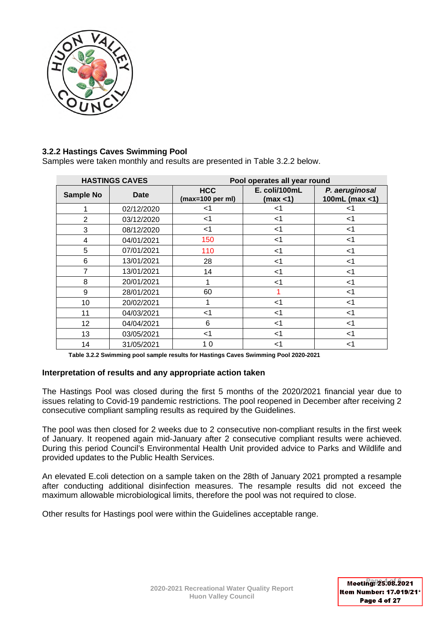

# **3.2.2 Hastings Caves Swimming Pool**

Samples were taken monthly and results are presented in Table 3.2.2 below.

|                  | <b>HASTINGS CAVES</b> |                                          | Pool operates all year round |                                  |  |  |  |
|------------------|-----------------------|------------------------------------------|------------------------------|----------------------------------|--|--|--|
| <b>Sample No</b> | Date                  | <b>HCC</b><br>$(max=100 \text{ per ml})$ | E. coli/100mL<br>(max < 1)   | P. aeruginosal<br>100mL (max <1) |  |  |  |
|                  | 02/12/2020            | $<$ 1                                    | <1                           | <1                               |  |  |  |
| $\overline{2}$   | 03/12/2020            | $<$ 1                                    | $<$ 1                        | $<$ 1                            |  |  |  |
| 3                | 08/12/2020            | $<$ 1                                    | $<$ 1                        | $<$ 1                            |  |  |  |
| 4                | 04/01/2021            | 150                                      | $<$ 1                        | $<$ 1                            |  |  |  |
| 5                | 07/01/2021            | 110                                      | $<$ 1                        | $<$ 1                            |  |  |  |
| 6                | 13/01/2021            | 28                                       | $<$ 1                        | $<$ 1                            |  |  |  |
| $\overline{7}$   | 13/01/2021            | 14                                       | $<$ 1                        | $<$ 1                            |  |  |  |
| 8                | 20/01/2021            | 1                                        | <1                           | <1                               |  |  |  |
| 9                | 28/01/2021            | 60                                       |                              | $<$ 1                            |  |  |  |
| 10               | 20/02/2021            | 1                                        | $<$ 1                        | $<$ 1                            |  |  |  |
| 11               | 04/03/2021            | $<$ 1                                    | $<$ 1                        | $<$ 1                            |  |  |  |
| 12               | 04/04/2021            | 6                                        | $<$ 1                        | $<$ 1                            |  |  |  |
| 13               | 03/05/2021            | <1                                       | $<$ 1                        | $<$ 1                            |  |  |  |
| 14               | 31/05/2021            | 10                                       | $<$ 1                        | $<$ 1                            |  |  |  |

**Table 3.2.2 Swimming pool sample results for Hastings Caves Swimming Pool 2020-2021** 

### **Interpretation of results and any appropriate action taken**

The Hastings Pool was closed during the first 5 months of the 2020/2021 financial year due to issues relating to Covid-19 pandemic restrictions. The pool reopened in December after receiving 2 consecutive compliant sampling results as required by the Guidelines.

The pool was then closed for 2 weeks due to 2 consecutive non-compliant results in the first week of January. It reopened again mid-January after 2 consecutive compliant results were achieved. During this period Council's Environmental Health Unit provided advice to Parks and Wildlife and provided updates to the Public Health Services.

An elevated E.coli detection on a sample taken on the 28th of January 2021 prompted a resample after conducting additional disinfection measures. The resample results did not exceed the maximum allowable microbiological limits, therefore the pool was not required to close.

Other results for Hastings pool were within the Guidelines acceptable range.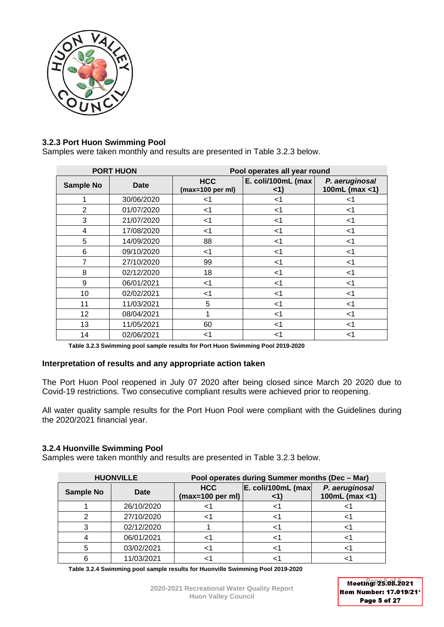

# **3.2.3 Port Huon Swimming Pool**

Samples were taken monthly and results are presented in Table 3.2.3 below.

|                  | <b>PORT HUON</b> |                                          | Pool operates all year round |                                  |  |  |  |
|------------------|------------------|------------------------------------------|------------------------------|----------------------------------|--|--|--|
| <b>Sample No</b> | <b>Date</b>      | <b>HCC</b><br>$(max=100 \text{ per ml})$ | E. coli/100mL (max<br><1)    | P. aeruginosal<br>100mL (max <1) |  |  |  |
|                  | 30/06/2020       | <1                                       | $<$ 1                        | <1                               |  |  |  |
| 2                | 01/07/2020       | $<$ 1                                    | $<$ 1                        | $<$ 1                            |  |  |  |
| 3                | 21/07/2020       | $<$ 1                                    | $<$ 1                        | $<$ 1                            |  |  |  |
| 4                | 17/08/2020       | $<$ 1                                    | $<$ 1                        | $<$ 1                            |  |  |  |
| 5                | 14/09/2020       | 88                                       | $<$ 1                        | $<$ 1                            |  |  |  |
| 6                | 09/10/2020       | $<$ 1                                    | $<$ 1                        | $<$ 1                            |  |  |  |
| $\overline{7}$   | 27/10/2020       | 99                                       | $<$ 1                        | $<$ 1                            |  |  |  |
| 8                | 02/12/2020       | 18                                       | $<$ 1                        | $<$ 1                            |  |  |  |
| 9                | 06/01/2021       | $<$ 1                                    | $<$ 1                        | $<$ 1                            |  |  |  |
| 10               | 02/02/2021       | $<$ 1                                    | $<$ 1                        | $<$ 1                            |  |  |  |
| 11               | 11/03/2021       | 5                                        | $<$ 1                        | $<$ 1                            |  |  |  |
| 12 <sub>2</sub>  | 08/04/2021       | 1                                        | $<$ 1                        | $<$ 1                            |  |  |  |
| 13               | 11/05/2021       | 60                                       | $<$ 1                        | $<$ 1                            |  |  |  |
| 14               | 02/06/2021       | $<$ 1                                    | <1                           | $<$ 1                            |  |  |  |

**Table 3.2.3 Swimming pool sample results for Port Huon Swimming Pool 2019-2020** 

### **Interpretation of results and any appropriate action taken**

The Port Huon Pool reopened in July 07 2020 after being closed since March 20 2020 due to Covid-19 restrictions. Two consecutive compliant results were achieved prior to reopening.

All water quality sample results for the Port Huon Pool were compliant with the Guidelines during the 2020/2021 financial year.

### **3.2.4 Huonville Swimming Pool**

Samples were taken monthly and results are presented in Table 3.2.3 below.

|                  | <b>HUONVILLE</b> |                                          | Pool operates during Summer months (Dec - Mar) |                                     |  |  |
|------------------|------------------|------------------------------------------|------------------------------------------------|-------------------------------------|--|--|
| <b>Sample No</b> | Date             | <b>HCC</b><br>$(max=100 \text{ per ml})$ | E. coli/100mL (max                             | P. aeruginosal<br>100mL (max $<$ 1) |  |  |
|                  | 26/10/2020       |                                          |                                                |                                     |  |  |
|                  | 27/10/2020       |                                          |                                                |                                     |  |  |
|                  | 02/12/2020       |                                          |                                                |                                     |  |  |
|                  | 06/01/2021       |                                          |                                                |                                     |  |  |
|                  | 03/02/2021       |                                          |                                                |                                     |  |  |
|                  | 11/03/2021       |                                          |                                                |                                     |  |  |

**Table 3.2.4 Swimming pool sample results for Huonville Swimming Pool 2019-2020**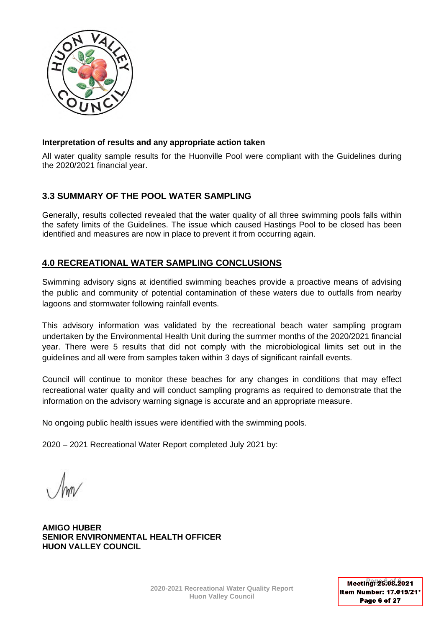

### **Interpretation of results and any appropriate action taken**

All water quality sample results for the Huonville Pool were compliant with the Guidelines during the 2020/2021 financial year.

# **3.3 SUMMARY OF THE POOL WATER SAMPLING**

Generally, results collected revealed that the water quality of all three swimming pools falls within the safety limits of the Guidelines. The issue which caused Hastings Pool to be closed has been identified and measures are now in place to prevent it from occurring again.

# **4.0 RECREATIONAL WATER SAMPLING CONCLUSIONS**

Swimming advisory signs at identified swimming beaches provide a proactive means of advising the public and community of potential contamination of these waters due to outfalls from nearby lagoons and stormwater following rainfall events.

This advisory information was validated by the recreational beach water sampling program undertaken by the Environmental Health Unit during the summer months of the 2020/2021 financial year. There were 5 results that did not comply with the microbiological limits set out in the guidelines and all were from samples taken within 3 days of significant rainfall events.

Council will continue to monitor these beaches for any changes in conditions that may effect recreational water quality and will conduct sampling programs as required to demonstrate that the information on the advisory warning signage is accurate and an appropriate measure.

No ongoing public health issues were identified with the swimming pools.

2020 – 2021 Recreational Water Report completed July 2021 by:

**AMIGO HUBER SENIOR ENVIRONMENTAL HEALTH OFFICER HUON VALLEY COUNCIL**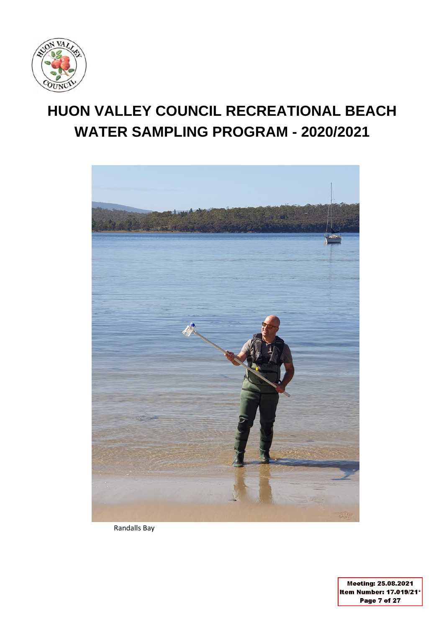

# **HUON VALLEY COUNCIL RECREATIONAL BEACH WATER SAMPLING PROGRAM - 2020/2021**



Randalls Bay

Meeting: 25.08.2021 Item Number: 17.019/21\* Page 7 of 27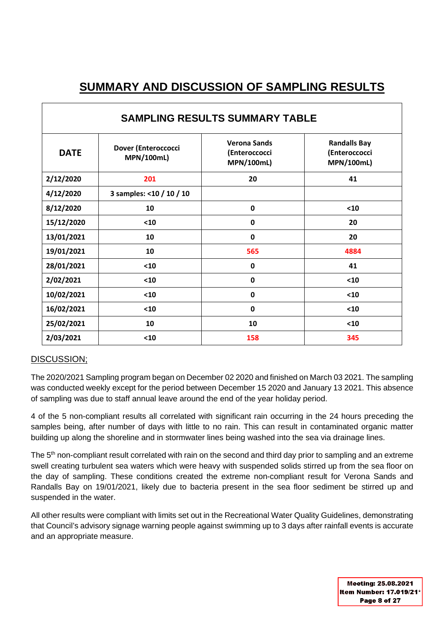# **SUMMARY AND DISCUSSION OF SAMPLING RESULTS**

| <b>SAMPLING RESULTS SUMMARY TABLE</b> |                                          |                                                           |                                                           |  |  |  |  |  |
|---------------------------------------|------------------------------------------|-----------------------------------------------------------|-----------------------------------------------------------|--|--|--|--|--|
| <b>DATE</b>                           | Dover (Enteroccocci<br><b>MPN/100mL)</b> | <b>Verona Sands</b><br>(Enteroccocci<br><b>MPN/100mL)</b> | <b>Randalls Bay</b><br>(Enteroccocci<br><b>MPN/100mL)</b> |  |  |  |  |  |
| 2/12/2020                             | 201                                      | 20                                                        | 41                                                        |  |  |  |  |  |
| 4/12/2020                             | 3 samples: <10 / 10 / 10                 |                                                           |                                                           |  |  |  |  |  |
| 8/12/2020                             | 10                                       | $\mathbf 0$                                               | $10$                                                      |  |  |  |  |  |
| 15/12/2020                            | $10$                                     | $\mathbf{0}$                                              | 20                                                        |  |  |  |  |  |
| 13/01/2021                            | 10                                       | $\mathbf 0$                                               | 20                                                        |  |  |  |  |  |
| 19/01/2021                            | 10                                       | 565                                                       | 4884                                                      |  |  |  |  |  |
| 28/01/2021                            | $10$                                     | $\mathbf 0$                                               | 41                                                        |  |  |  |  |  |
| 2/02/2021                             | $10$                                     | $\mathbf{0}$                                              | $10$                                                      |  |  |  |  |  |
| 10/02/2021                            | $10$                                     | 0                                                         | $10$                                                      |  |  |  |  |  |
| 16/02/2021                            | $10$                                     | 0                                                         | $10$                                                      |  |  |  |  |  |
| 25/02/2021                            | 10                                       | 10                                                        | $10$                                                      |  |  |  |  |  |
| 2/03/2021                             | $10$                                     | 158                                                       | 345                                                       |  |  |  |  |  |

# DISCUSSION;

The 2020/2021 Sampling program began on December 02 2020 and finished on March 03 2021. The sampling was conducted weekly except for the period between December 15 2020 and January 13 2021. This absence of sampling was due to staff annual leave around the end of the year holiday period.

4 of the 5 non-compliant results all correlated with significant rain occurring in the 24 hours preceding the samples being, after number of days with little to no rain. This can result in contaminated organic matter building up along the shoreline and in stormwater lines being washed into the sea via drainage lines.

The 5<sup>th</sup> non-compliant result correlated with rain on the second and third day prior to sampling and an extreme swell creating turbulent sea waters which were heavy with suspended solids stirred up from the sea floor on the day of sampling. These conditions created the extreme non-compliant result for Verona Sands and Randalls Bay on 19/01/2021, likely due to bacteria present in the sea floor sediment be stirred up and suspended in the water.

All other results were compliant with limits set out in the Recreational Water Quality Guidelines, demonstrating that Council's advisory signage warning people against swimming up to 3 days after rainfall events is accurate and an appropriate measure.

> Meeting: 25.08.2021 Item Number: 17.019/21\* Page 8 of 27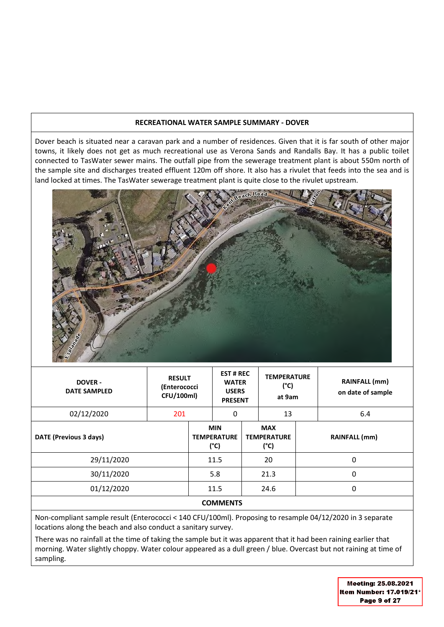#### **RECREATIONAL WATER SAMPLE SUMMARY - DOVER**

Dover beach is situated near a caravan park and a number of residences. Given that it is far south of other major towns, it likely does not get as much recreational use as Verona Sands and Randalls Bay. It has a public toilet connected to TasWater sewer mains. The outfall pipe from the sewerage treatment plant is about 550m north of the sample site and discharges treated effluent 120m off shore. It also has a rivulet that feeds into the sea and is land locked at times. The TasWater sewerage treatment plant is quite close to the rivulet upstream.



| <b>DOVER -</b><br><b>DATE SAMPLED</b> | <b>RESULT</b><br>(Enterococci<br>CFU/100ml) |                                          | <b>EST # REC</b><br><b>WATER</b><br><b>USERS</b><br><b>PRESENT</b> |                                          | <b>TEMPERATURE</b><br>(°C)<br>at 9am |  | RAINFALL (mm)<br>on date of sample |
|---------------------------------------|---------------------------------------------|------------------------------------------|--------------------------------------------------------------------|------------------------------------------|--------------------------------------|--|------------------------------------|
| 02/12/2020                            | 201                                         |                                          | 0                                                                  |                                          | 13                                   |  | 6.4                                |
| DATE (Previous 3 days)                |                                             | <b>MIN</b><br><b>TEMPERATURE</b><br>(°C) |                                                                    | <b>MAX</b><br><b>TEMPERATURE</b><br>(°C) |                                      |  | <b>RAINFALL (mm)</b>               |
| 29/11/2020                            |                                             |                                          | 11.5                                                               |                                          | 20                                   |  | 0                                  |
| 30/11/2020                            |                                             |                                          | 5.8                                                                |                                          | 21.3                                 |  | 0                                  |
| 01/12/2020                            |                                             |                                          | 11.5                                                               |                                          | 24.6                                 |  | 0                                  |
| <b>COMMENTS</b>                       |                                             |                                          |                                                                    |                                          |                                      |  |                                    |

Non-compliant sample result (Enterococci < 140 CFU/100ml). Proposing to resample 04/12/2020 in 3 separate locations along the beach and also conduct a sanitary survey.

There was no rainfall at the time of taking the sample but it was apparent that it had been raining earlier that morning. Water slightly choppy. Water colour appeared as a dull green / blue. Overcast but not raining at time of sampling.

> Meeting: 25.08.2021 Item Number: 17.019/21\* Page 9 of 27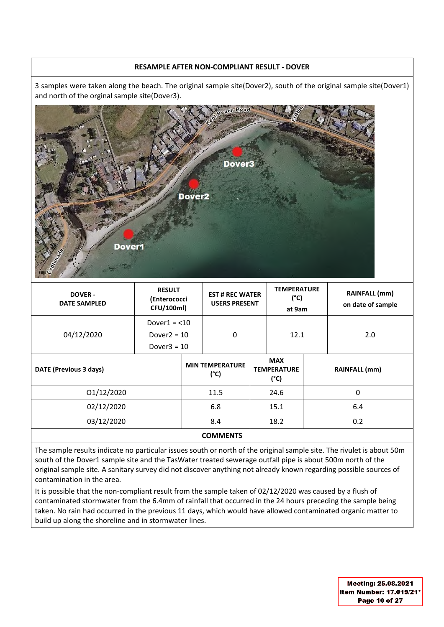### **RESAMPLE AFTER NON-COMPLIANT RESULT - DOVER**

3 samples were taken along the beach. The original sample site(Dover2), south of the original sample site(Dover1) and north of the orginal sample site(Dover3).



| <b>DOVER-</b><br><b>DATE SAMPLED</b> | <b>RESULT</b><br>(Enterococci<br>CFU/100ml) |                                | <b>EST # REC WATER</b><br><b>USERS PRESENT</b> |                                                   | <b>TEMPERATURE</b><br>(°C)<br>at 9am |  | <b>RAINFALL (mm)</b><br>on date of sample |
|--------------------------------------|---------------------------------------------|--------------------------------|------------------------------------------------|---------------------------------------------------|--------------------------------------|--|-------------------------------------------|
|                                      | Dover $1 = 10$                              |                                | $\Omega$                                       |                                                   | 12.1                                 |  |                                           |
| 04/12/2020                           | Dover $2 = 10$<br>Dover $3 = 10$            |                                |                                                |                                                   |                                      |  | 2.0                                       |
| DATE (Previous 3 days)               |                                             | <b>MIN TEMPERATURE</b><br>(°C) |                                                | <b>MAX</b><br><b>TEMPERATURE</b><br>$(^{\circ}C)$ |                                      |  | <b>RAINFALL</b> (mm)                      |
| 01/12/2020                           |                                             | 11.5                           |                                                |                                                   | 24.6                                 |  | 0                                         |
| 02/12/2020                           |                                             | 6.8                            |                                                |                                                   | 15.1                                 |  | 6.4                                       |
| 03/12/2020                           |                                             |                                | 8.4                                            |                                                   | 18.2                                 |  | 0.2                                       |
| <b>COMMENTS</b>                      |                                             |                                |                                                |                                                   |                                      |  |                                           |

The sample results indicate no particular issues south or north of the original sample site. The rivulet is about 50m south of the Dover1 sample site and the TasWater treated sewerage outfall pipe is about 500m north of the original sample site. A sanitary survey did not discover anything not already known regarding possible sources of contamination in the area.

It is possible that the non-compliant result from the sample taken of 02/12/2020 was caused by a flush of contaminated stormwater from the 6.4mm of rainfall that occurred in the 24 hours preceding the sample being taken. No rain had occurred in the previous 11 days, which would have allowed contaminated organic matter to build up along the shoreline and in stormwater lines.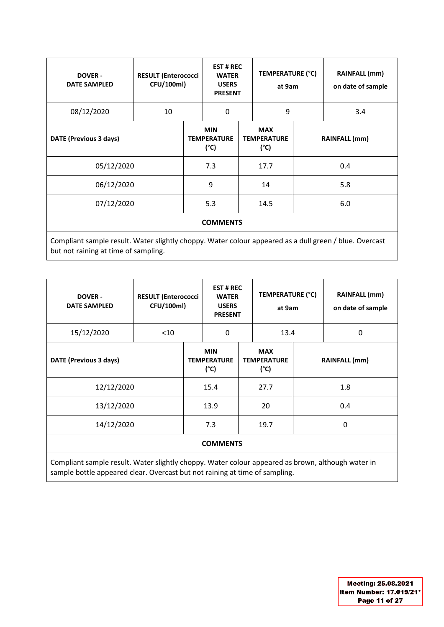| <b>DOVER-</b><br><b>DATE SAMPLED</b>                                                                                                           | <b>RESULT (Enterococci</b><br>CFU/100ml) |                                          | <b>EST#REC</b><br><b>WATER</b><br><b>USERS</b><br><b>PRESENT</b> |                                          | TEMPERATURE (°C)<br>at 9am |               | <b>RAINFALL (mm)</b><br>on date of sample |  |
|------------------------------------------------------------------------------------------------------------------------------------------------|------------------------------------------|------------------------------------------|------------------------------------------------------------------|------------------------------------------|----------------------------|---------------|-------------------------------------------|--|
| 08/12/2020                                                                                                                                     | 10                                       |                                          | 0                                                                |                                          | 9                          |               | 3.4                                       |  |
| DATE (Previous 3 days)                                                                                                                         |                                          | <b>MIN</b><br><b>TEMPERATURE</b><br>(°C) |                                                                  | <b>MAX</b><br><b>TEMPERATURE</b><br>(°C) |                            | RAINFALL (mm) |                                           |  |
| 05/12/2020                                                                                                                                     |                                          | 7.3                                      |                                                                  | 17.7                                     |                            |               | 0.4                                       |  |
| 06/12/2020                                                                                                                                     |                                          | 9                                        |                                                                  |                                          | 14                         |               | 5.8                                       |  |
| 07/12/2020                                                                                                                                     |                                          | 5.3                                      |                                                                  | 14.5                                     |                            |               | 6.0                                       |  |
|                                                                                                                                                |                                          |                                          | <b>COMMENTS</b>                                                  |                                          |                            |               |                                           |  |
| Compliant sample result. Water slightly choppy. Water colour appeared as a dull green / blue. Overcast<br>but not raining at time of sampling. |                                          |                                          |                                                                  |                                          |                            |               |                                           |  |

| <b>RESULT (Enterococci</b><br><b>DOVER-</b><br>CFU/100ml)<br><b>DATE SAMPLED</b>                                                                                                 |        |                                                   | <b>EST#REC</b><br><b>WATER</b><br><b>USERS</b><br><b>PRESENT</b> |  | <b>TEMPERATURE (°C)</b><br>at 9am        |               | <b>RAINFALL (mm)</b><br>on date of sample |  |
|----------------------------------------------------------------------------------------------------------------------------------------------------------------------------------|--------|---------------------------------------------------|------------------------------------------------------------------|--|------------------------------------------|---------------|-------------------------------------------|--|
| 15/12/2020                                                                                                                                                                       | $<$ 10 |                                                   | $\Omega$                                                         |  | 13.4                                     |               | $\mathbf{0}$                              |  |
| DATE (Previous 3 days)                                                                                                                                                           |        | <b>MIN</b><br><b>TEMPERATURE</b><br>$(^{\circ}C)$ |                                                                  |  | <b>MAX</b><br><b>TEMPERATURE</b><br>(°C) | RAINFALL (mm) |                                           |  |
| 12/12/2020                                                                                                                                                                       |        | 15.4                                              |                                                                  |  | 27.7                                     |               | 1.8                                       |  |
| 13/12/2020                                                                                                                                                                       |        | 13.9                                              |                                                                  |  | 20                                       |               | 0.4                                       |  |
| 14/12/2020                                                                                                                                                                       |        | 7.3                                               |                                                                  |  | 19.7                                     |               | 0                                         |  |
| <b>COMMENTS</b>                                                                                                                                                                  |        |                                                   |                                                                  |  |                                          |               |                                           |  |
| Compliant sample result. Water slightly choppy. Water colour appeared as brown, although water in<br>sample bottle appeared clear. Overcast but not raining at time of sampling. |        |                                                   |                                                                  |  |                                          |               |                                           |  |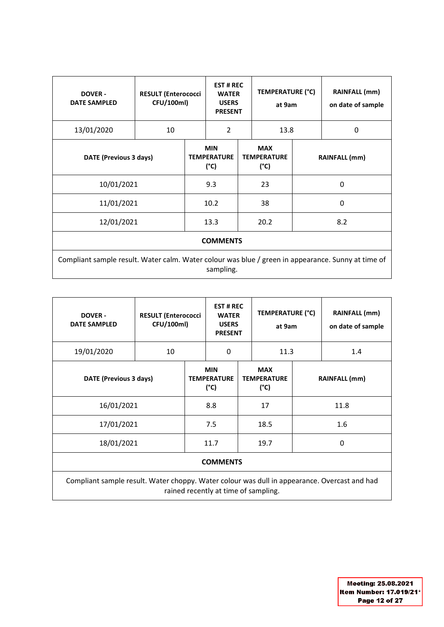| <b>DOVER -</b><br><b>DATE SAMPLED</b>                                                              |    | <b>RESULT (Enterococci</b><br>CFU/100ml) |                | <b>EST # REC</b><br>TEMPERATURE (°C)<br><b>WATER</b><br><b>USERS</b><br>at 9am<br><b>PRESENT</b> |                                                   |               | <b>RAINFALL</b> (mm)<br>on date of sample |  |
|----------------------------------------------------------------------------------------------------|----|------------------------------------------|----------------|--------------------------------------------------------------------------------------------------|---------------------------------------------------|---------------|-------------------------------------------|--|
| 13/01/2020                                                                                         | 10 |                                          | $\overline{2}$ |                                                                                                  | 13.8                                              |               | 0                                         |  |
| DATE (Previous 3 days)                                                                             |    | <b>MIN</b><br><b>TEMPERATURE</b><br>(°C) |                |                                                                                                  | <b>MAX</b><br><b>TEMPERATURE</b><br>$(^{\circ}C)$ | RAINFALL (mm) |                                           |  |
| 10/01/2021                                                                                         |    | 9.3                                      |                |                                                                                                  | 23                                                |               | 0                                         |  |
| 11/01/2021                                                                                         |    |                                          | 10.2           |                                                                                                  | 38                                                | 0             |                                           |  |
| 12/01/2021                                                                                         |    |                                          | 13.3           |                                                                                                  | 20.2                                              |               | 8.2                                       |  |
| <b>COMMENTS</b>                                                                                    |    |                                          |                |                                                                                                  |                                                   |               |                                           |  |
| Compliant sample result. Water calm. Water colour was blue / green in appearance. Sunny at time of |    |                                          |                |                                                                                                  |                                                   |               |                                           |  |

sampling.

| <b>DOVER-</b><br><b>DATE SAMPLED</b>                                                                                                 | <b>RESULT (Enterococci</b><br>CFU/100ml) |          |                                                   | <b>EST#REC</b><br><b>WATER</b><br><b>USERS</b><br><b>PRESENT</b> |                                          | <b>TEMPERATURE (°C)</b><br>at 9am | <b>RAINFALL</b> (mm)<br>on date of sample |  |
|--------------------------------------------------------------------------------------------------------------------------------------|------------------------------------------|----------|---------------------------------------------------|------------------------------------------------------------------|------------------------------------------|-----------------------------------|-------------------------------------------|--|
| 19/01/2020                                                                                                                           | 10                                       | $\Omega$ |                                                   | 11.3                                                             |                                          |                                   | 1.4                                       |  |
|                                                                                                                                      | DATE (Previous 3 days)                   |          | <b>MIN</b><br><b>TEMPERATURE</b><br>$(^{\circ}C)$ |                                                                  | <b>MAX</b><br><b>TEMPERATURE</b><br>(°C) |                                   | RAINFALL (mm)                             |  |
| 16/01/2021                                                                                                                           |                                          | 8.8      |                                                   |                                                                  | 17                                       |                                   | 11.8                                      |  |
| 17/01/2021                                                                                                                           |                                          | 7.5      |                                                   |                                                                  | 18.5                                     |                                   | 1.6                                       |  |
| 18/01/2021                                                                                                                           |                                          | 11.7     |                                                   |                                                                  | 19.7                                     |                                   | $\Omega$                                  |  |
| <b>COMMENTS</b>                                                                                                                      |                                          |          |                                                   |                                                                  |                                          |                                   |                                           |  |
| Compliant sample result. Water choppy. Water colour was dull in appearance. Overcast and had<br>rained recently at time of sampling. |                                          |          |                                                   |                                                                  |                                          |                                   |                                           |  |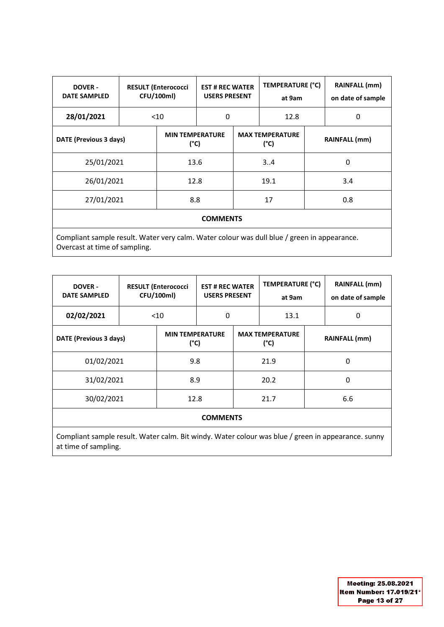| <b>DOVER-</b><br><b>DATE SAMPLED</b>                                                                                         |            | <b>RESULT (Enterococci</b><br>CFU/100ml) |                                         | <b>EST # REC WATER</b><br><b>USERS PRESENT</b> |      | <b>TEMPERATURE (°C)</b> | RAINFALL (mm)<br>on date of sample |  |
|------------------------------------------------------------------------------------------------------------------------------|------------|------------------------------------------|-----------------------------------------|------------------------------------------------|------|-------------------------|------------------------------------|--|
| 28/01/2021                                                                                                                   |            | $<$ 10                                   | 0                                       |                                                | 12.8 |                         | 0                                  |  |
| DATE (Previous 3 days)                                                                                                       |            | <b>MIN TEMPERATURE</b><br>$(^{\circ}C)$  | <b>MAX TEMPERATURE</b><br>$(^{\circ}C)$ |                                                |      | <b>RAINFALL</b> (mm)    |                                    |  |
|                                                                                                                              | 25/01/2021 |                                          | 13.6                                    |                                                | 34   |                         | $\Omega$                           |  |
| 26/01/2021                                                                                                                   |            |                                          | 12.8                                    |                                                | 19.1 |                         | 3.4                                |  |
| 27/01/2021                                                                                                                   |            | 8.8                                      | 17                                      |                                                |      | 0.8                     |                                    |  |
| <b>COMMENTS</b>                                                                                                              |            |                                          |                                         |                                                |      |                         |                                    |  |
| Compliant sample result. Water very calm. Water colour was dull blue / green in appearance.<br>Overcast at time of sampling. |            |                                          |                                         |                                                |      |                         |                                    |  |

| <b>DOVER-</b><br><b>DATE SAMPLED</b>                                                               | <b>RESULT (Enterococci</b><br>CFU/100ml) |                                         |      | <b>EST # REC WATER</b><br><b>USERS PRESENT</b> |      | TEMPERATURE (°C)     | <b>RAINFALL (mm)</b><br>on date of sample |  |  |
|----------------------------------------------------------------------------------------------------|------------------------------------------|-----------------------------------------|------|------------------------------------------------|------|----------------------|-------------------------------------------|--|--|
| 02/02/2021                                                                                         | $<$ 10                                   |                                         | 0    |                                                | 13.1 |                      | 0                                         |  |  |
| DATE (Previous 3 days)                                                                             |                                          | <b>MIN TEMPERATURE</b><br>$(^{\circ}C)$ |      | <b>MAX TEMPERATURE</b><br>(°C)                 |      | <b>RAINFALL</b> (mm) |                                           |  |  |
| 01/02/2021                                                                                         |                                          | 9.8                                     |      |                                                | 21.9 |                      | 0                                         |  |  |
| 31/02/2021                                                                                         |                                          | 8.9                                     |      | 20.2                                           |      | 0                    |                                           |  |  |
| 30/02/2021                                                                                         | 12.8                                     |                                         | 21.7 |                                                |      | 6.6                  |                                           |  |  |
| <b>COMMENTS</b>                                                                                    |                                          |                                         |      |                                                |      |                      |                                           |  |  |
| Compliant sample result. Water calm. Bit windy. Water colour was blue / green in appearance. sunny |                                          |                                         |      |                                                |      |                      |                                           |  |  |

at time of sampling.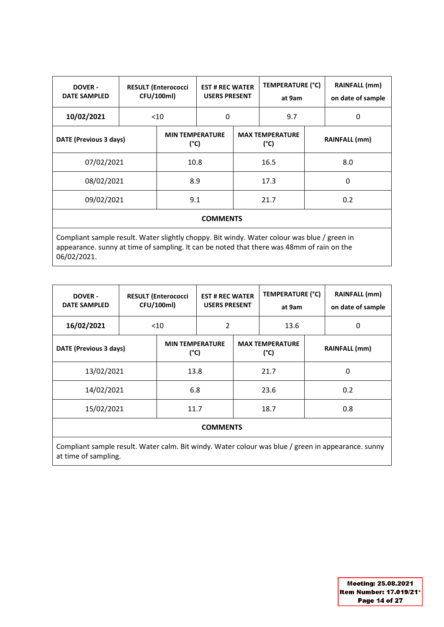| <b>DOVER -</b><br><b>DATE SAMPLED</b>                                                                                                                                                                   |                        | <b>RESULT (Enterococci</b><br>CFU/100ml) | TEMPERATURE (°C)<br><b>EST # REC WATER</b><br><b>USERS PRESENT</b><br>at 9am |      |                                | RAINFALL (mm)<br>on date of sample |               |  |  |
|---------------------------------------------------------------------------------------------------------------------------------------------------------------------------------------------------------|------------------------|------------------------------------------|------------------------------------------------------------------------------|------|--------------------------------|------------------------------------|---------------|--|--|
| 10/02/2021                                                                                                                                                                                              | $<$ 10                 |                                          | 0                                                                            |      | 9.7                            |                                    | $\Omega$      |  |  |
|                                                                                                                                                                                                         | DATE (Previous 3 days) |                                          | <b>MIN TEMPERATURE</b><br>$(^{\circ}C)$                                      |      | <b>MAX TEMPERATURE</b><br>(°C) |                                    | RAINFALL (mm) |  |  |
| 07/02/2021                                                                                                                                                                                              |                        | 10.8                                     |                                                                              |      | 16.5                           |                                    | 8.0           |  |  |
| 08/02/2021                                                                                                                                                                                              |                        | 8.9                                      |                                                                              |      | 17.3                           |                                    | 0             |  |  |
| 09/02/2021                                                                                                                                                                                              |                        | 9.1                                      |                                                                              | 21.7 |                                |                                    | 0.2           |  |  |
| <b>COMMENTS</b>                                                                                                                                                                                         |                        |                                          |                                                                              |      |                                |                                    |               |  |  |
| Compliant sample result. Water slightly choppy. Bit windy. Water colour was blue / green in<br>appearance. sunny at time of sampling. It can be noted that there was 48mm of rain on the<br>06/02/2021. |                        |                                          |                                                                              |      |                                |                                    |               |  |  |

| <b>DOVER -</b><br><b>DATE SAMPLED</b>                                                              |        | <b>EST # REC WATER</b><br><b>RESULT (Enterococci</b><br><b>CFU/100ml)</b><br><b>USERS PRESENT</b> |                                         |  | TEMPERATURE (°C)<br>at 9am     |     | <b>RAINFALL (mm)</b><br>on date of sample |  |  |
|----------------------------------------------------------------------------------------------------|--------|---------------------------------------------------------------------------------------------------|-----------------------------------------|--|--------------------------------|-----|-------------------------------------------|--|--|
| 16/02/2021                                                                                         | $<$ 10 |                                                                                                   | 2                                       |  | 13.6                           |     | 0                                         |  |  |
| DATE (Previous 3 days)                                                                             |        |                                                                                                   | <b>MIN TEMPERATURE</b><br>$(^{\circ}C)$ |  | <b>MAX TEMPERATURE</b><br>(°C) |     | <b>RAINFALL</b> (mm)                      |  |  |
| 13/02/2021                                                                                         |        | 13.8                                                                                              |                                         |  | 21.7                           |     | 0                                         |  |  |
| 14/02/2021                                                                                         |        | 6.8                                                                                               |                                         |  | 23.6                           |     | 0.2                                       |  |  |
| 15/02/2021                                                                                         | 11.7   |                                                                                                   | 18.7                                    |  |                                | 0.8 |                                           |  |  |
| <b>COMMENTS</b>                                                                                    |        |                                                                                                   |                                         |  |                                |     |                                           |  |  |
| Compliant sample result. Water calm. Bit windy. Water colour was blue / green in appearance. sunny |        |                                                                                                   |                                         |  |                                |     |                                           |  |  |

at time of sampling.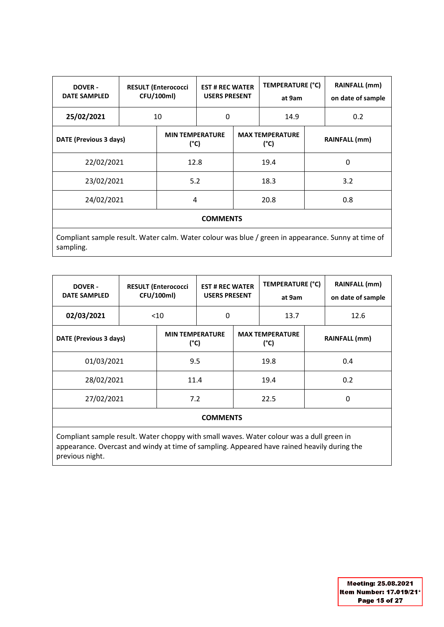| <b>DOVER-</b><br><b>DATE SAMPLED</b>                                                               |  | <b>RESULT (Enterococci</b><br>CFU/100ml) | <b>EST # REC WATER</b><br><b>USERS PRESENT</b> |                                | <b>TEMPERATURE (°C)</b><br>at 9am |               | RAINFALL (mm)<br>on date of sample |  |  |
|----------------------------------------------------------------------------------------------------|--|------------------------------------------|------------------------------------------------|--------------------------------|-----------------------------------|---------------|------------------------------------|--|--|
| 25/02/2021                                                                                         |  | 10                                       |                                                | 0                              |                                   |               | 0.2                                |  |  |
| DATE (Previous 3 days)                                                                             |  | <b>MIN TEMPERATURE</b><br>(°C)           |                                                | <b>MAX TEMPERATURE</b><br>(°C) |                                   | RAINFALL (mm) |                                    |  |  |
| 22/02/2021                                                                                         |  | 12.8                                     |                                                |                                | 19.4                              |               | 0                                  |  |  |
| 23/02/2021                                                                                         |  | 5.2                                      |                                                | 18.3                           |                                   |               | 3.2                                |  |  |
| 24/02/2021                                                                                         |  |                                          | 4                                              |                                | 20.8                              |               | 0.8                                |  |  |
| <b>COMMENTS</b>                                                                                    |  |                                          |                                                |                                |                                   |               |                                    |  |  |
| Compliant sample result. Water calm. Water colour was blue / green in appearance. Sunny at time of |  |                                          |                                                |                                |                                   |               |                                    |  |  |

sampling.

| <b>DOVER-</b><br><b>DATE SAMPLED</b>                                                                      | <b>RESULT (Enterococci</b><br>CFU/100ml) |                                         |                 | <b>EST # REC WATER</b><br><b>USERS PRESENT</b> |      | TEMPERATURE (°C)     | <b>RAINFALL (mm)</b><br>on date of sample |
|-----------------------------------------------------------------------------------------------------------|------------------------------------------|-----------------------------------------|-----------------|------------------------------------------------|------|----------------------|-------------------------------------------|
| 02/03/2021                                                                                                | $<$ 10                                   |                                         | 0               |                                                |      |                      | 12.6                                      |
| DATE (Previous 3 days)                                                                                    |                                          | <b>MIN TEMPERATURE</b><br>$(^{\circ}C)$ |                 | <b>MAX TEMPERATURE</b><br>(°C)                 |      | <b>RAINFALL (mm)</b> |                                           |
| 01/03/2021                                                                                                |                                          | 9.5                                     |                 |                                                | 19.8 |                      | 0.4                                       |
| 28/02/2021                                                                                                |                                          | 11.4                                    |                 | 19.4                                           |      |                      | 0.2                                       |
| 27/02/2021                                                                                                |                                          | 7.2                                     |                 |                                                | 22.5 |                      | 0                                         |
|                                                                                                           |                                          |                                         | <b>COMMENTS</b> |                                                |      |                      |                                           |
| Achieldenii centrale needlii Affairen aleened dala eneedli decen Affairen estedeadure eta aldit zue en de |                                          |                                         |                 |                                                |      |                      |                                           |

Compliant sample result. Water choppy with small waves. Water colour was a dull green in appearance. Overcast and windy at time of sampling. Appeared have rained heavily during the previous night.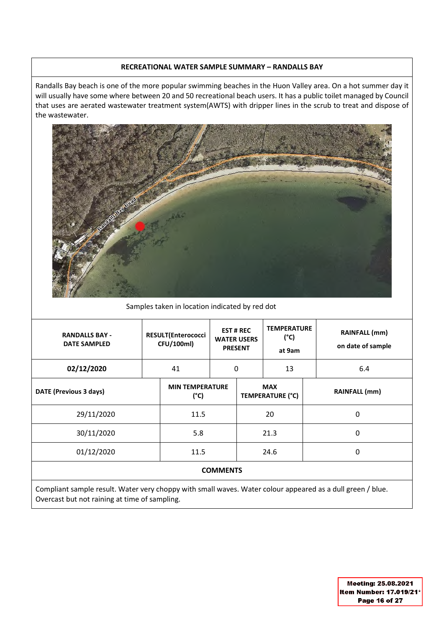### **RECREATIONAL WATER SAMPLE SUMMARY – RANDALLS BAY**

Randalls Bay beach is one of the more popular swimming beaches in the Huon Valley area. On a hot summer day it will usually have some where between 20 and 50 recreational beach users. It has a public toilet managed by Council that uses are aerated wastewater treatment system(AWTS) with dripper lines in the scrub to treat and dispose of the wastewater.



Samples taken in location indicated by red dot

| <b>RANDALLS BAY -</b><br><b>DATE SAMPLED</b>                                                                                                                                                                                       |    | <b>RESULT(Enterococci</b><br>CFU/100ml)                                                                                                 |   | <b>EST # REC</b><br><b>WATER USERS</b><br><b>PRESENT</b> | <b>TEMPERATURE</b><br>$(^{\circ}C)$<br>at 9am |  | <b>RAINFALL (mm)</b><br>on date of sample |  |
|------------------------------------------------------------------------------------------------------------------------------------------------------------------------------------------------------------------------------------|----|-----------------------------------------------------------------------------------------------------------------------------------------|---|----------------------------------------------------------|-----------------------------------------------|--|-------------------------------------------|--|
| 02/12/2020                                                                                                                                                                                                                         | 41 |                                                                                                                                         | 0 |                                                          | 13                                            |  | 6.4                                       |  |
| DATE (Previous 3 days)                                                                                                                                                                                                             |    | <b>MIN TEMPERATURE</b><br>$(^{\circ}C)$                                                                                                 |   |                                                          | <b>MAX</b><br><b>TEMPERATURE (°C)</b>         |  | <b>RAINFALL (mm)</b>                      |  |
| 29/11/2020                                                                                                                                                                                                                         |    | 11.5                                                                                                                                    |   |                                                          | 20                                            |  | $\Omega$                                  |  |
| 30/11/2020                                                                                                                                                                                                                         |    | 5.8                                                                                                                                     |   | 21.3                                                     |                                               |  | $\Omega$                                  |  |
| 01/12/2020                                                                                                                                                                                                                         |    | 11.5                                                                                                                                    |   | 24.6                                                     |                                               |  | 0                                         |  |
| <b>COMMENTS</b>                                                                                                                                                                                                                    |    |                                                                                                                                         |   |                                                          |                                               |  |                                           |  |
| the contract of the contract of the contract of the contract of the contract of the contract of the contract of<br>the contract of the contract of the contract of the contract of the contract of the contract of the contract of |    | the contract of the contract of the contract of the contract of the contract of the contract of the contract of<br>$\sim$ $\sim$ $\sim$ |   |                                                          |                                               |  | .                                         |  |

Compliant sample result. Water very choppy with small waves. Water colour appeared as a dull green / blue. Overcast but not raining at time of sampling.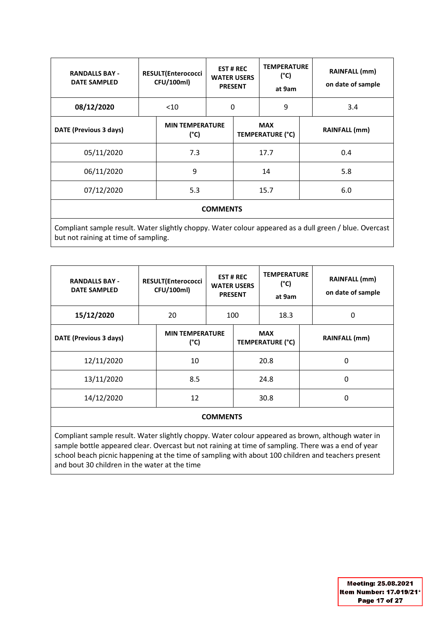| <b>RANDALLS BAY -</b><br><b>DATE SAMPLED</b>                                                           |  | <b>RESULT(Enterococci</b><br>CFU/100ml) | <b>WATER USERS</b><br><b>PRESENT</b> | <b>EST # REC</b> | <b>TEMPERATURE</b><br>(°C)<br>at 9am  |  | <b>RAINFALL (mm)</b><br>on date of sample |  |  |
|--------------------------------------------------------------------------------------------------------|--|-----------------------------------------|--------------------------------------|------------------|---------------------------------------|--|-------------------------------------------|--|--|
| 08/12/2020                                                                                             |  | $<$ 10                                  |                                      | 0                | 9                                     |  | 3.4                                       |  |  |
| DATE (Previous 3 days)                                                                                 |  | <b>MIN TEMPERATURE</b><br>$(^{\circ}C)$ |                                      |                  | <b>MAX</b><br><b>TEMPERATURE (°C)</b> |  | RAINFALL (mm)                             |  |  |
| 05/11/2020                                                                                             |  | 7.3                                     |                                      |                  | 17.7                                  |  | 0.4                                       |  |  |
| 06/11/2020                                                                                             |  | 9                                       |                                      | 14               |                                       |  | 5.8                                       |  |  |
| 07/12/2020                                                                                             |  | 5.3                                     |                                      |                  | 15.7                                  |  | 6.0                                       |  |  |
| <b>COMMENTS</b>                                                                                        |  |                                         |                                      |                  |                                       |  |                                           |  |  |
| Compliant sample result. Water slightly choppy. Water colour appeared as a dull green / blue. Overcast |  |                                         |                                      |                  |                                       |  |                                           |  |  |

but not raining at time of sampling.

| <b>RANDALLS BAY -</b><br><b>DATE SAMPLED</b> | <b>RESULT(Enterococci</b><br>CFU/100ml) |                                         | <b>EST#REC</b><br><b>WATER USERS</b><br><b>PRESENT</b> |      | <b>TEMPERATURE</b><br>$(^{\circ}C)$<br>at 9am |  | <b>RAINFALL (mm)</b><br>on date of sample |
|----------------------------------------------|-----------------------------------------|-----------------------------------------|--------------------------------------------------------|------|-----------------------------------------------|--|-------------------------------------------|
| 15/12/2020                                   |                                         | 20                                      |                                                        | 100  | 18.3                                          |  | 0                                         |
| DATE (Previous 3 days)                       |                                         | <b>MIN TEMPERATURE</b><br>$(^{\circ}C)$ |                                                        |      | <b>MAX</b><br>TEMPERATURE (°C)                |  | <b>RAINFALL (mm)</b>                      |
| 12/11/2020                                   |                                         | 10                                      |                                                        |      | 20.8                                          |  | 0                                         |
| 13/11/2020                                   |                                         | 8.5                                     |                                                        | 24.8 |                                               |  | 0                                         |
| 14/12/2020                                   |                                         | 12                                      |                                                        |      | 30.8                                          |  | 0                                         |
|                                              |                                         |                                         |                                                        |      |                                               |  |                                           |

### **COMMENTS**

Compliant sample result. Water slightly choppy. Water colour appeared as brown, although water in sample bottle appeared clear. Overcast but not raining at time of sampling. There was a end of year school beach picnic happening at the time of sampling with about 100 children and teachers present and bout 30 children in the water at the time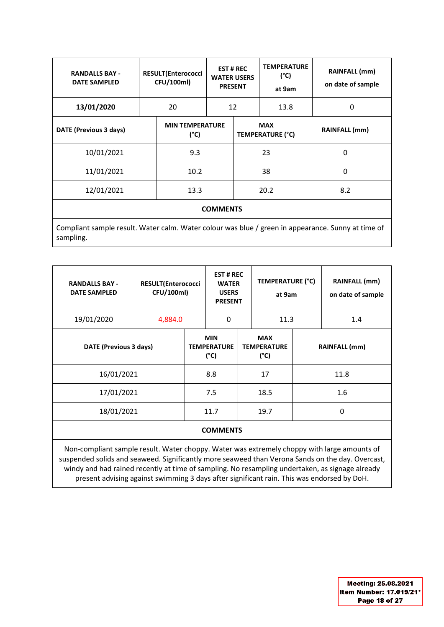| <b>RANDALLS BAY -</b><br><b>DATE SAMPLED</b>                                                                    | <b>RESULT(Enterococci</b><br>CFU/100ml) |                                | <b>EST # REC</b><br><b>WATER USERS</b><br><b>PRESENT</b> |                                | <b>TEMPERATURE</b><br>(°C)<br>at 9am |  | RAINFALL (mm)<br>on date of sample |  |
|-----------------------------------------------------------------------------------------------------------------|-----------------------------------------|--------------------------------|----------------------------------------------------------|--------------------------------|--------------------------------------|--|------------------------------------|--|
| 13/01/2020                                                                                                      | 20                                      |                                | 12                                                       |                                | 13.8                                 |  | 0                                  |  |
| DATE (Previous 3 days)                                                                                          |                                         | <b>MIN TEMPERATURE</b><br>(°C) |                                                          | <b>MAX</b><br>TEMPERATURE (°C) |                                      |  | RAINFALL (mm)                      |  |
| 10/01/2021                                                                                                      |                                         | 9.3                            |                                                          |                                | 23                                   |  | 0                                  |  |
| 11/01/2021                                                                                                      |                                         | 10.2                           |                                                          |                                | 38                                   |  | 0                                  |  |
| 12/01/2021                                                                                                      |                                         | 13.3                           |                                                          | 20.2                           |                                      |  | 8.2                                |  |
| <b>COMMENTS</b>                                                                                                 |                                         |                                |                                                          |                                |                                      |  |                                    |  |
| Compliant sample result. Water calm. Water colour was blue / green in appearance. Sunny at time of<br>sampling. |                                         |                                |                                                          |                                |                                      |  |                                    |  |

**RANDALLS BAY - DATE SAMPLED RESULT(Enterococci CFU/100ml) EST # REC WATER USERS PRESENT TEMPERATURE (°C) at 9am RAINFALL (mm) on date of sample**  19/01/2020 | 4,884.0 | 0 | 11.3 | 1.4 **DATE (Previous 3 days) MIN TEMPERATURE (°C) MAX TEMPERATURE (°C) RAINFALL (mm)** 16/01/2021 8.8 17 11.8 17/01/2021 1.5 18.5 1.6 18/01/2021 11.7 19.7 0 **COMMENTS**

Non-compliant sample result. Water choppy. Water was extremely choppy with large amounts of suspended solids and seaweed. Significantly more seaweed than Verona Sands on the day. Overcast, windy and had rained recently at time of sampling. No resampling undertaken, as signage already present advising against swimming 3 days after significant rain. This was endorsed by DoH.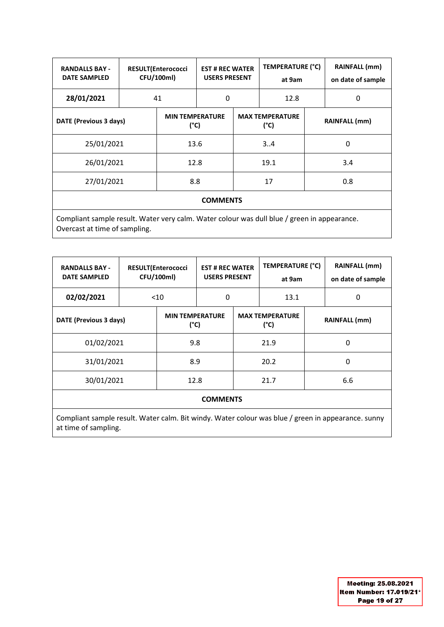| <b>RANDALLS BAY -</b><br><b>DATE SAMPLED</b>                                                |  | <b>EST # REC WATER</b><br><b>RESULT(Enterococci</b><br>CFU/100ml)<br><b>USERS PRESENT</b> |  |                                | TEMPERATURE (°C)<br>at 9am |                      | <b>RAINFALL (mm)</b><br>on date of sample |  |
|---------------------------------------------------------------------------------------------|--|-------------------------------------------------------------------------------------------|--|--------------------------------|----------------------------|----------------------|-------------------------------------------|--|
| 28/01/2021                                                                                  |  | 41                                                                                        |  | 0                              |                            |                      | 0                                         |  |
| DATE (Previous 3 days)                                                                      |  | <b>MIN TEMPERATURE</b><br>$(^{\circ}C)$                                                   |  | <b>MAX TEMPERATURE</b><br>(°C) |                            | <b>RAINFALL</b> (mm) |                                           |  |
| 25/01/2021                                                                                  |  | 13.6                                                                                      |  |                                | 34                         |                      | 0                                         |  |
| 26/01/2021                                                                                  |  | 12.8                                                                                      |  | 19.1                           |                            | 3.4                  |                                           |  |
| 27/01/2021                                                                                  |  | 8.8                                                                                       |  | 17                             |                            |                      | 0.8                                       |  |
| <b>COMMENTS</b>                                                                             |  |                                                                                           |  |                                |                            |                      |                                           |  |
| Compliant sample result. Water very calm. Water colour was dull blue / green in appearance. |  |                                                                                           |  |                                |                            |                      |                                           |  |

Overcast at time of sampling.

| <b>RANDALLS BAY -</b><br><b>DATE SAMPLED</b> | TEMPERATURE (°C)<br><b>RESULT(Enterococci</b><br><b>EST # REC WATER</b><br>CFU/100ml)<br><b>USERS PRESENT</b><br>at 9am |                                         |  | <b>RAINFALL (mm)</b><br>on date of sample |                                |   |                      |  |  |
|----------------------------------------------|-------------------------------------------------------------------------------------------------------------------------|-----------------------------------------|--|-------------------------------------------|--------------------------------|---|----------------------|--|--|
| 02/02/2021                                   |                                                                                                                         | 0<br>< 10<br>13.1                       |  |                                           |                                | 0 |                      |  |  |
| DATE (Previous 3 days)                       |                                                                                                                         | <b>MIN TEMPERATURE</b><br>$(^{\circ}C)$ |  |                                           | <b>MAX TEMPERATURE</b><br>(°C) |   | <b>RAINFALL (mm)</b> |  |  |
| 01/02/2021                                   |                                                                                                                         | 9.8                                     |  |                                           | 21.9                           |   | 0                    |  |  |
| 31/01/2021                                   |                                                                                                                         | 8.9                                     |  | 20.2                                      |                                | 0 |                      |  |  |
| 30/01/2021                                   |                                                                                                                         | 12.8                                    |  |                                           | 21.7                           |   | 6.6                  |  |  |
| <b>COMMENTS</b>                              |                                                                                                                         |                                         |  |                                           |                                |   |                      |  |  |

Compliant sample result. Water calm. Bit windy. Water colour was blue / green in appearance. sunny at time of sampling.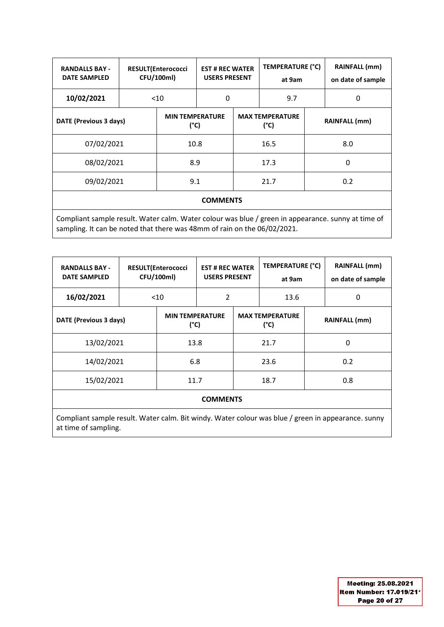| <b>RANDALLS BAY -</b><br><b>DATE SAMPLED</b>                                                       |        | <b>RESULT(Enterococci</b><br>CFU/100ml) |   | <b>TEMPERATURE (°C)</b><br><b>EST # REC WATER</b><br><b>USERS PRESENT</b><br>at 9am |      |                      | <b>RAINFALL (mm)</b><br>on date of sample |  |  |
|----------------------------------------------------------------------------------------------------|--------|-----------------------------------------|---|-------------------------------------------------------------------------------------|------|----------------------|-------------------------------------------|--|--|
| 10/02/2021                                                                                         | $<$ 10 |                                         | 0 |                                                                                     | 9.7  |                      | $\Omega$                                  |  |  |
| DATE (Previous 3 days)                                                                             |        | <b>MIN TEMPERATURE</b><br>$(^{\circ}C)$ |   | <b>MAX TEMPERATURE</b><br>(°C)                                                      |      | <b>RAINFALL</b> (mm) |                                           |  |  |
| 07/02/2021                                                                                         |        | 10.8                                    |   |                                                                                     | 16.5 |                      | 8.0                                       |  |  |
| 08/02/2021                                                                                         |        | 8.9                                     |   | 17.3                                                                                |      |                      | 0                                         |  |  |
| 09/02/2021                                                                                         |        | 9.1                                     |   |                                                                                     | 21.7 |                      | 0.2                                       |  |  |
| <b>COMMENTS</b>                                                                                    |        |                                         |   |                                                                                     |      |                      |                                           |  |  |
| Compliant sample result. Water calm. Water colour was blue / green in appearance. sunny at time of |        |                                         |   |                                                                                     |      |                      |                                           |  |  |

sampling. It can be noted that there was 48mm of rain on the 06/02/2021.

| <b>RANDALLS BAY -</b><br><b>DATE SAMPLED</b><br>16/02/2021 |                        | <b>RESULT(Enterococci</b><br>CFU/100ml)<br>$<$ 10 | 2                              | <b>EST # REC WATER</b><br><b>USERS PRESENT</b> |                                | TEMPERATURE (°C) | <b>RAINFALL</b> (mm)<br>on date of sample<br>0 |
|------------------------------------------------------------|------------------------|---------------------------------------------------|--------------------------------|------------------------------------------------|--------------------------------|------------------|------------------------------------------------|
|                                                            | DATE (Previous 3 days) |                                                   | <b>MIN TEMPERATURE</b><br>(°C) |                                                | <b>MAX TEMPERATURE</b><br>(°C) |                  | <b>RAINFALL (mm)</b>                           |
| 13/02/2021                                                 |                        | 13.8                                              |                                |                                                | 21.7                           |                  | 0                                              |
| 14/02/2021                                                 |                        | 6.8                                               |                                |                                                | 23.6                           |                  | 0.2                                            |
| 15/02/2021                                                 |                        | 11.7                                              |                                |                                                | 18.7                           |                  | 0.8                                            |
|                                                            |                        |                                                   | COMMATINTS                     |                                                |                                |                  |                                                |

### **COMMENTS**

Compliant sample result. Water calm. Bit windy. Water colour was blue / green in appearance. sunny at time of sampling.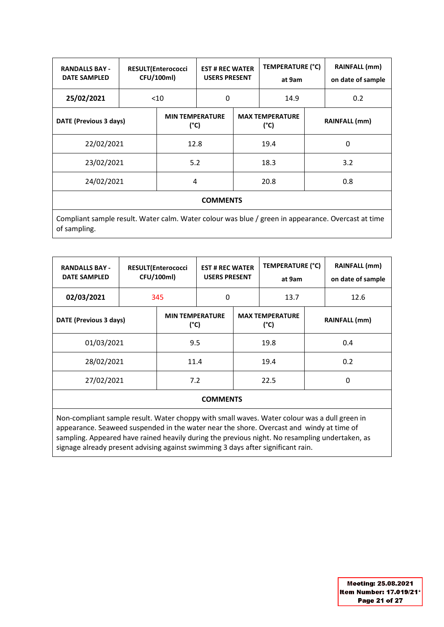| <b>RANDALLS BAY -</b><br><b>DATE SAMPLED</b>                                                                       |                                | <b>RESULT(Enterococci</b><br>CFU/100ml) |      | <b>EST # REC WATER</b><br><b>USERS PRESENT</b> |      | <b>TEMPERATURE (°C)</b> | <b>RAINFALL</b> (mm)<br>on date of sample |  |
|--------------------------------------------------------------------------------------------------------------------|--------------------------------|-----------------------------------------|------|------------------------------------------------|------|-------------------------|-------------------------------------------|--|
| 25/02/2021                                                                                                         |                                | $<$ 10                                  |      | 0                                              |      |                         | 0.2                                       |  |
| DATE (Previous 3 days)                                                                                             | <b>MIN TEMPERATURE</b><br>(°C) |                                         |      | <b>MAX TEMPERATURE</b><br>$(^{\circ}C)$        |      |                         | <b>RAINFALL</b> (mm)                      |  |
|                                                                                                                    | 22/02/2021                     |                                         | 12.8 |                                                | 19.4 |                         | 0                                         |  |
| 23/02/2021                                                                                                         |                                | 5.2                                     |      |                                                | 18.3 |                         | 3.2                                       |  |
| 24/02/2021                                                                                                         |                                | 4                                       |      |                                                | 20.8 |                         | 0.8                                       |  |
| <b>COMMENTS</b>                                                                                                    |                                |                                         |      |                                                |      |                         |                                           |  |
| Compliant sample result. Water calm. Water colour was blue / green in appearance. Overcast at time<br>of sampling. |                                |                                         |      |                                                |      |                         |                                           |  |

| <b>RANDALLS BAY -</b><br><b>DATE SAMPLED</b> | <b>RESULT(Enterococci</b><br>CFU/100ml) |                                | <b>EST # REC WATER</b><br><b>USERS PRESENT</b> |      | TEMPERATURE (°C)<br>at 9am     |  | <b>RAINFALL</b> (mm)<br>on date of sample |
|----------------------------------------------|-----------------------------------------|--------------------------------|------------------------------------------------|------|--------------------------------|--|-------------------------------------------|
| 02/03/2021                                   |                                         | 345                            | 0                                              |      | 13.7                           |  | 12.6                                      |
| DATE (Previous 3 days)                       |                                         | <b>MIN TEMPERATURE</b><br>(°C) |                                                |      | <b>MAX TEMPERATURE</b><br>(°C) |  | <b>RAINFALL</b> (mm)                      |
| 01/03/2021                                   |                                         | 9.5                            |                                                |      | 19.8                           |  | 0.4                                       |
| 28/02/2021                                   |                                         | 11.4                           |                                                | 19.4 |                                |  | 0.2                                       |
| 27/02/2021                                   |                                         | 7.2                            |                                                | 22.5 |                                |  | 0                                         |
|                                              |                                         |                                |                                                |      |                                |  |                                           |

### **COMMENTS**

Non-compliant sample result. Water choppy with small waves. Water colour was a dull green in appearance. Seaweed suspended in the water near the shore. Overcast and windy at time of sampling. Appeared have rained heavily during the previous night. No resampling undertaken, as signage already present advising against swimming 3 days after significant rain.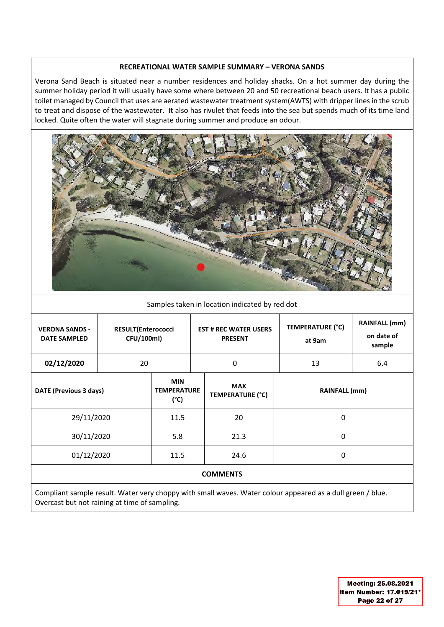#### **RECREATIONAL WATER SAMPLE SUMMARY – VERONA SANDS**

Verona Sand Beach is situated near a number residences and holiday shacks. On a hot summer day during the summer holiday period it will usually have some where between 20 and 50 recreational beach users. It has a public toilet managed by Council that uses are aerated wastewater treatment system(AWTS) with dripper lines in the scrub to treat and dispose of the wastewater. It also has rivulet that feeds into the sea but spends much of its time land locked. Quite often the water will stagnate during summer and produce an odour.



### Samples taken in location indicated by red dot

| <b>VERONA SANDS -</b><br><b>DATE SAMPLED</b> | <b>RESULT(Enterococci</b><br>CFU/100ml) |                                                   |                                       | <b>EST # REC WATER USERS</b><br><b>PRESENT</b>                                                           | <b>TEMPERATURE (°C)</b><br>at 9am | <b>RAINFALL (mm)</b><br>on date of<br>sample |  |
|----------------------------------------------|-----------------------------------------|---------------------------------------------------|---------------------------------------|----------------------------------------------------------------------------------------------------------|-----------------------------------|----------------------------------------------|--|
| 02/12/2020                                   | 20                                      |                                                   |                                       | $\Omega$                                                                                                 | 13                                | 6.4                                          |  |
| DATE (Previous 3 days)                       |                                         | <b>MIN</b><br><b>TEMPERATURE</b><br>$(^{\circ}C)$ | <b>MAX</b><br><b>TEMPERATURE (°C)</b> |                                                                                                          | <b>RAINFALL (mm)</b>              |                                              |  |
| 29/11/2020                                   |                                         | 20<br>11.5                                        |                                       | 0                                                                                                        |                                   |                                              |  |
| 30/11/2020                                   |                                         | 5.8                                               |                                       | 21.3                                                                                                     | 0                                 |                                              |  |
| 01/12/2020                                   |                                         | 11.5                                              |                                       | 24.6                                                                                                     | 0                                 |                                              |  |
|                                              |                                         |                                                   |                                       | <b>COMMENTS</b>                                                                                          |                                   |                                              |  |
|                                              |                                         |                                                   |                                       | Compliant cample rocult Water year, channuwith small wayse, Water colour appeared as a dull groop / blue |                                   |                                              |  |

Compliant sample result. Water very choppy with small waves. Water colour appeared as a dull green / blue. Overcast but not raining at time of sampling.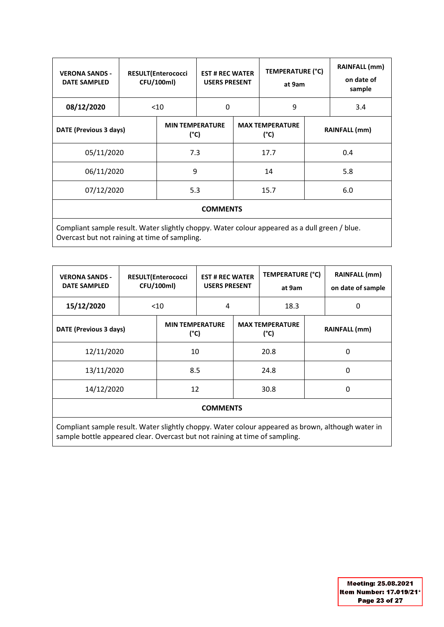| <b>VERONA SANDS -</b><br><b>DATE SAMPLED</b>                                                                                                   |            | <b>RESULT(Enterococci</b><br>CFU/100ml) |                                | <b>EST # REC WATER</b><br><b>USERS PRESENT</b> |                                | TEMPERATURE (°C)<br>at 9am | RAINFALL (mm)<br>on date of<br>sample |  |
|------------------------------------------------------------------------------------------------------------------------------------------------|------------|-----------------------------------------|--------------------------------|------------------------------------------------|--------------------------------|----------------------------|---------------------------------------|--|
| 08/12/2020                                                                                                                                     |            | $<$ 10                                  | 0                              |                                                | 9                              |                            | 3.4                                   |  |
| DATE (Previous 3 days)                                                                                                                         |            |                                         | <b>MIN TEMPERATURE</b><br>(°C) |                                                | <b>MAX TEMPERATURE</b><br>(°C) |                            | <b>RAINFALL</b> (mm)                  |  |
| 05/11/2020                                                                                                                                     |            | 7.3                                     |                                |                                                | 17.7                           |                            | 0.4                                   |  |
| 06/11/2020                                                                                                                                     |            | 9                                       |                                |                                                | 14                             |                            | 5.8                                   |  |
|                                                                                                                                                | 07/12/2020 |                                         |                                | 15.7                                           |                                |                            | 6.0                                   |  |
| <b>COMMENTS</b>                                                                                                                                |            |                                         |                                |                                                |                                |                            |                                       |  |
| Compliant sample result. Water slightly choppy. Water colour appeared as a dull green / blue.<br>Overcast but not raining at time of sampling. |            |                                         |                                |                                                |                                |                            |                                       |  |

| <b>VERONA SANDS -</b><br><b>DATE SAMPLED</b> | <b>RESULT(Enterococci</b><br>CFU/100ml) |        |                                         | <b>EST # REC WATER</b><br><b>USERS PRESENT</b> |                                | <b>TEMPERATURE (°C)</b> | <b>RAINFALL (mm)</b><br>on date of sample |  |
|----------------------------------------------|-----------------------------------------|--------|-----------------------------------------|------------------------------------------------|--------------------------------|-------------------------|-------------------------------------------|--|
| 15/12/2020                                   |                                         | $<$ 10 |                                         | 4                                              |                                |                         | 0                                         |  |
| DATE (Previous 3 days)                       |                                         |        | <b>MIN TEMPERATURE</b><br>$(^{\circ}C)$ |                                                | <b>MAX TEMPERATURE</b><br>(°C) |                         | <b>RAINFALL</b> (mm)                      |  |
| 12/11/2020                                   |                                         | 10     |                                         |                                                | 20.8                           |                         | 0                                         |  |
| 13/11/2020                                   |                                         | 8.5    |                                         | 24.8                                           |                                |                         | 0                                         |  |
| 14/12/2020                                   |                                         | 12     |                                         |                                                | 30.8                           |                         | 0                                         |  |
|                                              |                                         |        | <b>COMMENTS</b>                         |                                                |                                |                         |                                           |  |
|                                              |                                         |        |                                         |                                                |                                |                         |                                           |  |

Compliant sample result. Water slightly choppy. Water colour appeared as brown, although water in sample bottle appeared clear. Overcast but not raining at time of sampling.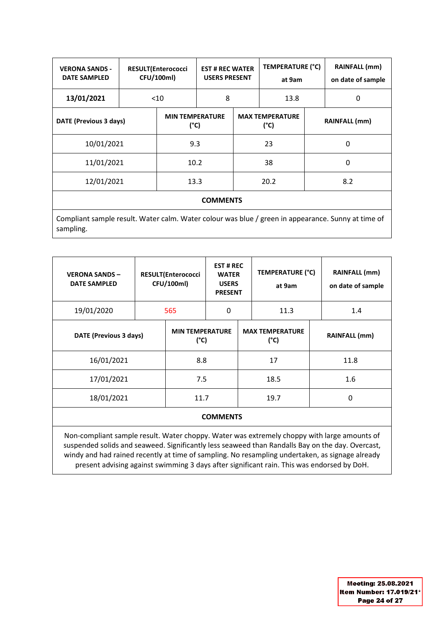| <b>VERONA SANDS -</b><br><b>DATE SAMPLED</b>                                                       | <b>RESULT(Enterococci</b><br>CFU/100ml) |                                         | <b>EST # REC WATER</b><br><b>USERS PRESENT</b> |    | <b>TEMPERATURE (°C)</b><br>at 9am |   | <b>RAINFALL</b> (mm)<br>on date of sample |  |
|----------------------------------------------------------------------------------------------------|-----------------------------------------|-----------------------------------------|------------------------------------------------|----|-----------------------------------|---|-------------------------------------------|--|
| 13/01/2021                                                                                         |                                         | $<$ 10                                  |                                                | 8  |                                   |   | 0                                         |  |
| DATE (Previous 3 days)                                                                             |                                         | <b>MIN TEMPERATURE</b><br>$(^{\circ}C)$ |                                                |    | <b>MAX TEMPERATURE</b><br>(°C)    |   | <b>RAINFALL</b> (mm)                      |  |
| 10/01/2021                                                                                         |                                         | 9.3                                     |                                                |    | 23                                |   | 0                                         |  |
| 11/01/2021                                                                                         |                                         | 10.2                                    |                                                | 38 |                                   | 0 |                                           |  |
| 12/01/2021                                                                                         |                                         | 13.3                                    |                                                |    | 20.2                              |   | 8.2                                       |  |
| <b>COMMENTS</b>                                                                                    |                                         |                                         |                                                |    |                                   |   |                                           |  |
| Compliant sample result. Water calm. Water colour was blue / green in appearance. Sunny at time of |                                         |                                         |                                                |    |                                   |   |                                           |  |

sampling.

| <b>VERONA SANDS -</b><br><b>DATE SAMPLED</b> | RESULT(Enterococci<br>CFU/100ml) |                                         | <b>EST#REC</b><br><b>WATER</b><br><b>USERS</b><br><b>PRESENT</b> |      | TEMPERATURE (°C)<br>at 9am              |   | <b>RAINFALL (mm)</b><br>on date of sample |  |
|----------------------------------------------|----------------------------------|-----------------------------------------|------------------------------------------------------------------|------|-----------------------------------------|---|-------------------------------------------|--|
| 19/01/2020                                   | 565                              |                                         | 0                                                                | 11.3 |                                         |   | 1.4                                       |  |
| DATE (Previous 3 days)                       |                                  | <b>MIN TEMPERATURE</b><br>$(^{\circ}C)$ |                                                                  |      | <b>MAX TEMPERATURE</b><br>$(^{\circ}C)$ |   | <b>RAINFALL (mm)</b>                      |  |
| 16/01/2021                                   |                                  | 8.8                                     |                                                                  |      | 17                                      |   | 11.8                                      |  |
| 17/01/2021                                   |                                  | 7.5                                     |                                                                  | 18.5 |                                         |   | 1.6                                       |  |
| 18/01/2021                                   | 11.7                             |                                         |                                                                  | 19.7 |                                         | 0 |                                           |  |
| <b>COMMENTS</b>                              |                                  |                                         |                                                                  |      |                                         |   |                                           |  |

Non-compliant sample result. Water choppy. Water was extremely choppy with large amounts of suspended solids and seaweed. Significantly less seaweed than Randalls Bay on the day. Overcast, windy and had rained recently at time of sampling. No resampling undertaken, as signage already present advising against swimming 3 days after significant rain. This was endorsed by DoH.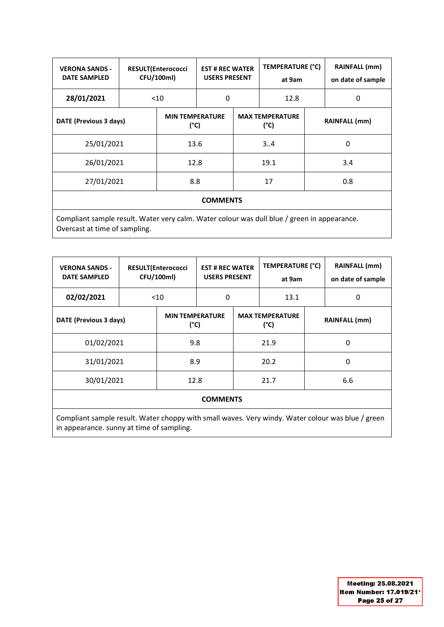| <b>VERONA SANDS -</b><br><b>DATE SAMPLED</b>                                                |     | <b>RESULT(Enterococci</b><br>CFU/100ml) | <b>EST # REC WATER</b><br><b>USERS PRESENT</b> |                                | TEMPERATURE (°C)<br>at 9am |                      | <b>RAINFALL (mm)</b><br>on date of sample |
|---------------------------------------------------------------------------------------------|-----|-----------------------------------------|------------------------------------------------|--------------------------------|----------------------------|----------------------|-------------------------------------------|
| 28/01/2021                                                                                  |     | $<$ 10                                  |                                                | 0                              |                            |                      | 0                                         |
| DATE (Previous 3 days)                                                                      |     | <b>MIN TEMPERATURE</b><br>$(^{\circ}C)$ |                                                | <b>MAX TEMPERATURE</b><br>(°C) |                            | <b>RAINFALL</b> (mm) |                                           |
| 25/01/2021                                                                                  |     | 13.6                                    |                                                |                                | 34                         |                      | 0                                         |
| 26/01/2021                                                                                  |     | 12.8                                    |                                                | 19.1                           |                            |                      | 3.4                                       |
| 27/01/2021                                                                                  | 8.8 |                                         |                                                | 17                             |                            | 0.8                  |                                           |
| <b>COMMENTS</b>                                                                             |     |                                         |                                                |                                |                            |                      |                                           |
| Compliant sample result. Water very calm. Water colour was dull blue / green in appearance. |     |                                         |                                                |                                |                            |                      |                                           |

Overcast at time of sampling.

| <b>VERONA SANDS -</b><br><b>DATE SAMPLED</b> |  | <b>RESULT(Enterococci</b><br>CFU/100ml) | <b>EST # REC WATER</b><br><b>USERS PRESENT</b> |  | TEMPERATURE (°C)<br>at 9am     |  | <b>RAINFALL (mm)</b><br>on date of sample |  |  |
|----------------------------------------------|--|-----------------------------------------|------------------------------------------------|--|--------------------------------|--|-------------------------------------------|--|--|
| 02/02/2021                                   |  | < 10                                    | 0                                              |  | 13.1                           |  | 0                                         |  |  |
| DATE (Previous 3 days)                       |  | <b>MIN TEMPERATURE</b><br>$(^{\circ}C)$ |                                                |  | <b>MAX TEMPERATURE</b><br>(°C) |  | <b>RAINFALL (mm)</b>                      |  |  |
| 01/02/2021                                   |  | 9.8                                     |                                                |  | 21.9                           |  | 0                                         |  |  |
| 31/01/2021                                   |  | 8.9                                     |                                                |  | 20.2                           |  | 0                                         |  |  |
| 30/01/2021                                   |  | 12.8                                    |                                                |  | 21.7                           |  | 6.6                                       |  |  |
| <b>COMMENTS</b>                              |  |                                         |                                                |  |                                |  |                                           |  |  |

Compliant sample result. Water choppy with small waves. Very windy. Water colour was blue / green in appearance. sunny at time of sampling.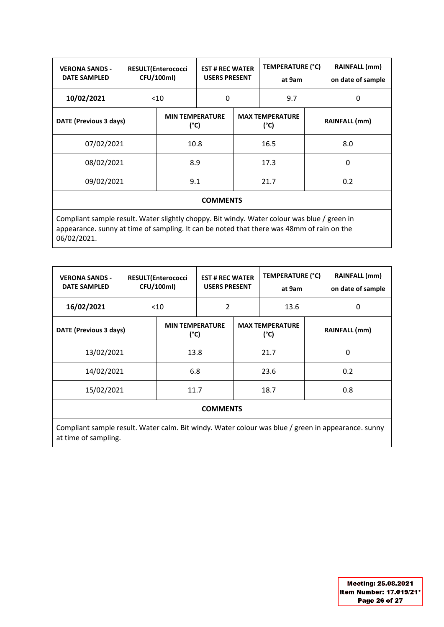| <b>VERONA SANDS -</b><br><b>DATE SAMPLED</b> | <b>RESULT(Enterococci</b><br>CFU/100ml) |                                |                 | <b>EST # REC WATER</b><br><b>USERS PRESENT</b> |                                | TEMPERATURE (°C) | <b>RAINFALL</b> (mm)<br>on date of sample |  |
|----------------------------------------------|-----------------------------------------|--------------------------------|-----------------|------------------------------------------------|--------------------------------|------------------|-------------------------------------------|--|
| 10/02/2021                                   |                                         | $<$ 10                         |                 | 0                                              |                                |                  | 0                                         |  |
| DATE (Previous 3 days)                       |                                         | <b>MIN TEMPERATURE</b><br>(°C) |                 |                                                | <b>MAX TEMPERATURE</b><br>(°C) |                  | <b>RAINFALL</b> (mm)                      |  |
| 07/02/2021                                   |                                         | 10.8                           |                 |                                                | 16.5                           |                  | 8.0                                       |  |
| 08/02/2021                                   |                                         | 8.9                            |                 | 17.3                                           |                                | 0                |                                           |  |
| 09/02/2021                                   |                                         | 9.1                            |                 |                                                | 21.7                           |                  | 0.2                                       |  |
|                                              |                                         |                                | <b>COMMENTS</b> |                                                |                                |                  |                                           |  |

Compliant sample result. Water slightly choppy. Bit windy. Water colour was blue / green in appearance. sunny at time of sampling. It can be noted that there was 48mm of rain on the 06/02/2021.

| <b>VERONA SANDS -</b><br><b>DATE SAMPLED</b> |  | <b>RESULT(Enterococci</b><br>CFU/100ml) |                 | <b>EST # REC WATER</b><br><b>USERS PRESENT</b> |                                | TEMPERATURE (°C) | <b>RAINFALL</b> (mm)<br>on date of sample |
|----------------------------------------------|--|-----------------------------------------|-----------------|------------------------------------------------|--------------------------------|------------------|-------------------------------------------|
| 16/02/2021                                   |  | $<$ 10                                  | $\mathfrak z$   |                                                | 13.6                           |                  | 0                                         |
| DATE (Previous 3 days)                       |  | <b>MIN TEMPERATURE</b><br>$(^{\circ}C)$ |                 |                                                | <b>MAX TEMPERATURE</b><br>(°C) |                  | <b>RAINFALL</b> (mm)                      |
| 13/02/2021                                   |  | 13.8                                    |                 |                                                | 21.7                           |                  | 0                                         |
| 14/02/2021                                   |  | 6.8                                     |                 |                                                | 23.6                           |                  | 0.2                                       |
| 15/02/2021                                   |  | 11.7                                    |                 |                                                | 18.7                           |                  | 0.8                                       |
|                                              |  |                                         | <b>COMMENTS</b> |                                                |                                |                  |                                           |

Compliant sample result. Water calm. Bit windy. Water colour was blue / green in appearance. sunny at time of sampling.